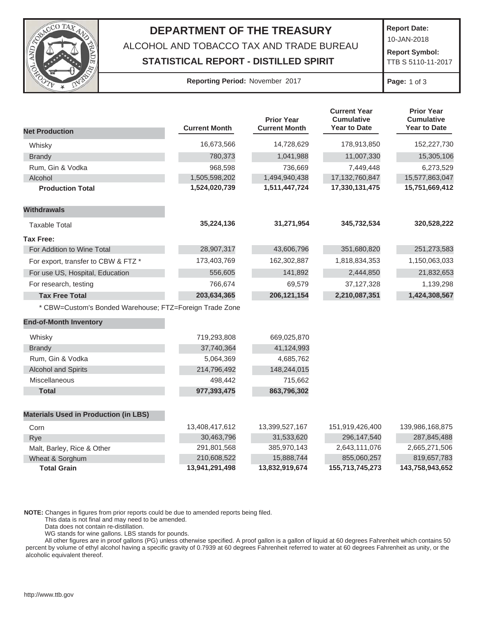

## **DEPARTMENT OF THE TREASURY** ALCOHOL AND TOBACCO TAX AND TRADE BUREAU

**STATISTICAL REPORT - DISTILLED SPIRIT**

**Report Date:**

10-JAN-2018

 **Report Symbol:**  TTB S 5110-11-2017

## **Reporting Period:** November 2017 **Page:** 1 of 3

|                                                         |                      | <b>Prior Year</b>    | <b>Current Year</b><br><b>Cumulative</b> | <b>Prior Year</b><br><b>Cumulative</b> |
|---------------------------------------------------------|----------------------|----------------------|------------------------------------------|----------------------------------------|
| <b>Net Production</b>                                   | <b>Current Month</b> | <b>Current Month</b> | <b>Year to Date</b>                      | <b>Year to Date</b>                    |
| Whisky                                                  | 16,673,566           | 14,728,629           | 178,913,850                              | 152,227,730                            |
| <b>Brandy</b>                                           | 780,373              | 1,041,988            | 11,007,330                               | 15,305,106                             |
| Rum, Gin & Vodka                                        | 968,598              | 736,669              | 7,449,448                                | 6,273,529                              |
| Alcohol                                                 | 1,505,598,202        | 1,494,940,438        | 17,132,760,847                           | 15,577,863,047                         |
| <b>Production Total</b>                                 | 1,524,020,739        | 1,511,447,724        | 17,330,131,475                           | 15,751,669,412                         |
| <b>Withdrawals</b>                                      |                      |                      |                                          |                                        |
| <b>Taxable Total</b>                                    | 35,224,136           | 31,271,954           | 345,732,534                              | 320,528,222                            |
| <b>Tax Free:</b>                                        |                      |                      |                                          |                                        |
| For Addition to Wine Total                              | 28,907,317           | 43,606,796           | 351,680,820                              | 251,273,583                            |
| For export, transfer to CBW & FTZ *                     | 173,403,769          | 162,302,887          | 1,818,834,353                            | 1,150,063,033                          |
| For use US, Hospital, Education                         | 556,605              | 141,892              | 2,444,850                                | 21,832,653                             |
| For research, testing                                   | 766,674              | 69,579               | 37, 127, 328                             | 1,139,298                              |
| <b>Tax Free Total</b>                                   | 203,634,365          | 206, 121, 154        | 2,210,087,351                            | 1,424,308,567                          |
| * CBW=Custom's Bonded Warehouse; FTZ=Foreign Trade Zone |                      |                      |                                          |                                        |
| <b>End-of-Month Inventory</b>                           |                      |                      |                                          |                                        |
| Whisky                                                  | 719,293,808          | 669,025,870          |                                          |                                        |
| <b>Brandy</b>                                           | 37,740,364           | 41,124,993           |                                          |                                        |
| Rum, Gin & Vodka                                        | 5,064,369            | 4,685,762            |                                          |                                        |
| <b>Alcohol and Spirits</b>                              | 214,796,492          | 148,244,015          |                                          |                                        |
| Miscellaneous                                           | 498,442              | 715,662              |                                          |                                        |
| <b>Total</b>                                            | 977,393,475          | 863,796,302          |                                          |                                        |
| <b>Materials Used in Production (in LBS)</b>            |                      |                      |                                          |                                        |
| Corn                                                    | 13,408,417,612       | 13,399,527,167       | 151,919,426,400                          | 139,986,168,875                        |
| Rye                                                     | 30,463,796           | 31,533,620           | 296,147,540                              | 287,845,488                            |
| Malt, Barley, Rice & Other                              | 291,801,568          | 385,970,143          | 2,643,111,076                            | 2,665,271,506                          |
| Wheat & Sorghum                                         | 210,608,522          | 15,888,744           | 855,060,257                              | 819,657,783                            |
| <b>Total Grain</b>                                      | 13,941,291,498       | 13,832,919,674       | 155,713,745,273                          | 143,758,943,652                        |

**NOTE:** Changes in figures from prior reports could be due to amended reports being filed.

This data is not final and may need to be amended.

Data does not contain re-distillation.

WG stands for wine gallons. LBS stands for pounds.

 All other figures are in proof gallons (PG) unless otherwise specified. A proof gallon is a gallon of liquid at 60 degrees Fahrenheit which contains 50 percent by volume of ethyl alcohol having a specific gravity of 0.7939 at 60 degrees Fahrenheit referred to water at 60 degrees Fahrenheit as unity, or the alcoholic equivalent thereof.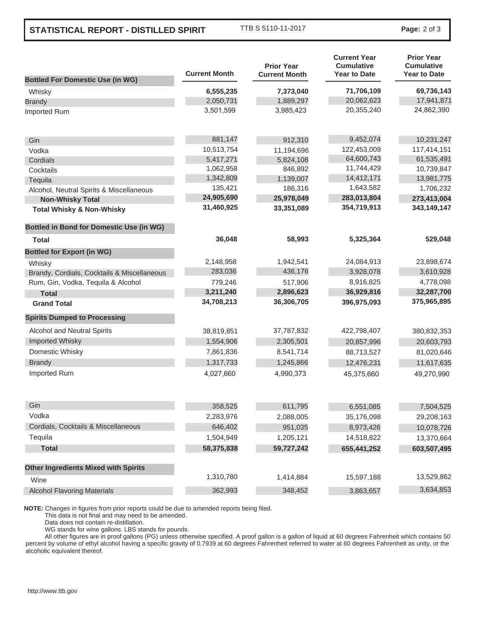## **STATISTICAL REPORT - DISTILLED SPIRIT**

TTB S 5110-11-2017 **Page:** 2 of 3

|                                                 | <b>Current Month</b> | <b>Prior Year</b><br><b>Current Month</b> | <b>Current Year</b><br><b>Cumulative</b><br><b>Year to Date</b> | <b>Prior Year</b><br><b>Cumulative</b><br><b>Year to Date</b> |
|-------------------------------------------------|----------------------|-------------------------------------------|-----------------------------------------------------------------|---------------------------------------------------------------|
| <b>Bottled For Domestic Use (in WG)</b>         |                      |                                           |                                                                 |                                                               |
| Whisky                                          | 6,555,235            | 7,373,040                                 | 71,706,109                                                      | 69,736,143                                                    |
| <b>Brandy</b>                                   | 2,050,731            | 1,889,297                                 | 20,062,623                                                      | 17,941,871                                                    |
| Imported Rum                                    | 3,501,599            | 3,985,423                                 | 20,355,240                                                      | 24,862,390                                                    |
| Gin                                             | 881,147              | 912,310                                   | 9,452,074                                                       | 10,231,247                                                    |
| Vodka                                           | 10,513,754           | 11,194,696                                | 122,453,009                                                     | 117,414,151                                                   |
| Cordials                                        | 5,417,271            | 5,824,108                                 | 64,600,743                                                      | 61,535,491                                                    |
| Cocktails                                       | 1,062,958            | 846,892                                   | 11,744,429                                                      | 10,739,847                                                    |
| Tequila                                         | 1,342,809            | 1,139,007                                 | 14,412,171                                                      | 13,981,775                                                    |
| Alcohol, Neutral Spirits & Miscellaneous        | 135,421              | 186,316                                   | 1,643,582                                                       | 1,706,232                                                     |
| <b>Non-Whisky Total</b>                         | 24,905,690           | 25,978,049                                | 283,013,804                                                     | 273,413,004                                                   |
| <b>Total Whisky &amp; Non-Whisky</b>            | 31,460,925           | 33,351,089                                | 354,719,913                                                     | 343,149,147                                                   |
| <b>Bottled in Bond for Domestic Use (in WG)</b> |                      |                                           |                                                                 |                                                               |
| Total                                           | 36,048               | 58,993                                    | 5,325,364                                                       | 529,048                                                       |
| <b>Bottled for Export (in WG)</b>               |                      |                                           |                                                                 |                                                               |
| Whisky                                          | 2,148,958            | 1,942,541                                 | 24,084,913                                                      | 23,898,674                                                    |
| Brandy, Cordials, Cocktails & Miscellaneous     | 283,036              | 436,176                                   | 3,928,078                                                       | 3,610,928                                                     |
| Rum, Gin, Vodka, Tequila & Alcohol              | 779,246              | 517,906                                   | 8,916,825                                                       | 4,778,098                                                     |
| <b>Total</b>                                    | 3,211,240            | 2,896,623                                 | 36,929,816                                                      | 32,287,700                                                    |
| <b>Grand Total</b>                              | 34,708,213           | 36,306,705                                | 396,975,093                                                     | 375,965,895                                                   |
| <b>Spirits Dumped to Processing</b>             |                      |                                           |                                                                 |                                                               |
| Alcohol and Neutral Spirits                     | 38,819,851           | 37,787,832                                | 422,798,407                                                     | 380,832,353                                                   |
| <b>Imported Whisky</b>                          | 1,554,906            | 2,305,501                                 | 20,857,996                                                      | 20,603,793                                                    |
| Domestic Whisky                                 | 7,861,836            | 8,541,714                                 | 88,713,527                                                      | 81,020,646                                                    |
| <b>Brandy</b>                                   | 1,317,733            | 1,245,866                                 | 12,476,231                                                      | 11,617,635                                                    |
| Imported Rum                                    | 4,027,660            | 4,990,373                                 | 45,375,660                                                      | 49,270,990                                                    |
| Gin                                             | 358,525              | 611,795                                   | 6,551,085                                                       | 7,504,525                                                     |
| Vodka                                           | 2,283,976            | 2,088,005                                 | 35,176,098                                                      | 29,208,163                                                    |
| Cordials, Cocktails & Miscellaneous             | 646,402              | 951,035                                   | 8,973,426                                                       | 10,078,726                                                    |
| Tequila                                         | 1,504,949            | 1,205,121                                 | 14,518,822                                                      | 13,370,664                                                    |
| <b>Total</b>                                    | 58,375,838           | 59,727,242                                | 655,441,252                                                     | 603,507,495                                                   |
| <b>Other Ingredients Mixed with Spirits</b>     |                      |                                           |                                                                 |                                                               |
| Wine                                            | 1,310,780            | 1,414,884                                 | 15,597,188                                                      | 13,529,862                                                    |
| <b>Alcohol Flavoring Materials</b>              | 362,993              | 348,452                                   | 3,863,657                                                       | 3,634,853                                                     |
|                                                 |                      |                                           |                                                                 |                                                               |

**NOTE:** Changes in figures from prior reports could be due to amended reports being filed.

This data is not final and may need to be amended.

Data does not contain re-distillation.

WG stands for wine gallons. LBS stands for pounds.

 All other figures are in proof gallons (PG) unless otherwise specified. A proof gallon is a gallon of liquid at 60 degrees Fahrenheit which contains 50 percent by volume of ethyl alcohol having a specific gravity of 0.7939 at 60 degrees Fahrenheit referred to water at 60 degrees Fahrenheit as unity, or the alcoholic equivalent thereof.